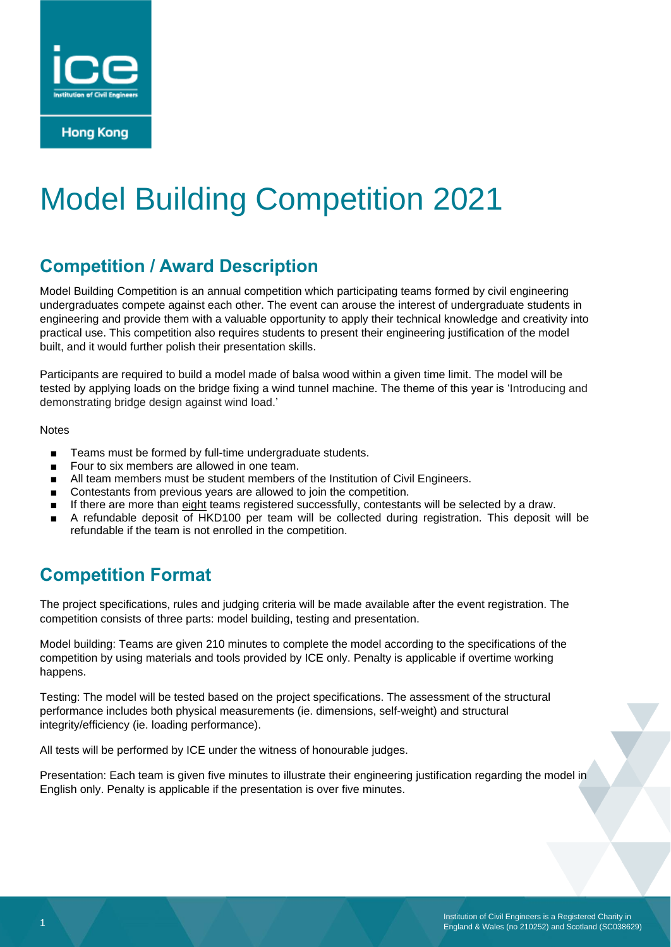

**Hong Kong** 

# Model Building Competition 2021

## **Competition / Award Description**

Model Building Competition is an annual competition which participating teams formed by civil engineering undergraduates compete against each other. The event can arouse the interest of undergraduate students in engineering and provide them with a valuable opportunity to apply their technical knowledge and creativity into practical use. This competition also requires students to present their engineering justification of the model built, and it would further polish their presentation skills.

Participants are required to build a model made of balsa wood within a given time limit. The model will be tested by applying loads on the bridge fixing a wind tunnel machine. The theme of this year is 'Introducing and demonstrating bridge design against wind load.'

#### **Notes**

- Teams must be formed by full-time undergraduate students.
- Four to six members are allowed in one team.
- All team members must be student members of the Institution of Civil Engineers.
- Contestants from previous years are allowed to join the competition.
- If there are more than eight teams registered successfully, contestants will be selected by a draw.
- A refundable deposit of HKD100 per team will be collected during registration. This deposit will be refundable if the team is not enrolled in the competition.

## **Competition Format**

The project specifications, rules and judging criteria will be made available after the event registration. The competition consists of three parts: model building, testing and presentation.

Model building: Teams are given 210 minutes to complete the model according to the specifications of the competition by using materials and tools provided by ICE only. Penalty is applicable if overtime working happens.

Testing: The model will be tested based on the project specifications. The assessment of the structural performance includes both physical measurements (ie. dimensions, self-weight) and structural integrity/efficiency (ie. loading performance).

All tests will be performed by ICE under the witness of honourable judges.

Presentation: Each team is given five minutes to illustrate their engineering justification regarding the model in English only. Penalty is applicable if the presentation is over five minutes.